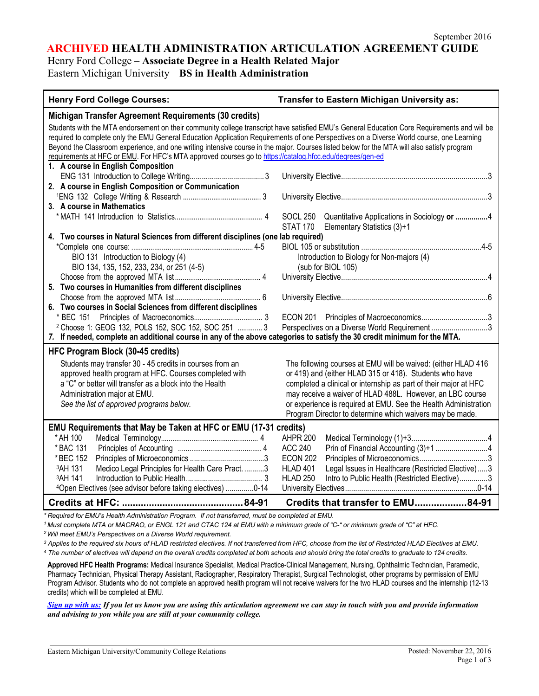**ARCHIVED HEALTH ADMINISTRATION ARTICULATION AGREEMENT GUIDE**

Henry Ford College – **Associate Degree in a Health Related Major** Eastern Michigan University – **BS in Health Administration**

| <b>Henry Ford College Courses:</b>                                                                                                           | <b>Transfer to Eastern Michigan University as:</b>                      |  |  |
|----------------------------------------------------------------------------------------------------------------------------------------------|-------------------------------------------------------------------------|--|--|
| Michigan Transfer Agreement Requirements (30 credits)                                                                                        |                                                                         |  |  |
| Students with the MTA endorsement on their community college transcript have satisfied EMU's General Education Core Requirements and will be |                                                                         |  |  |
| required to complete only the EMU General Education Application Requirements of one Perspectives on a Diverse World course, one Learning     |                                                                         |  |  |
| Beyond the Classroom experience, and one writing intensive course in the major. Courses listed below for the MTA will also satisfy program   |                                                                         |  |  |
| requirements at HFC or EMU. For HFC's MTA approved courses go to https://catalog.hfcc.edu/degrees/gen-ed                                     |                                                                         |  |  |
| 1. A course in English Composition                                                                                                           |                                                                         |  |  |
|                                                                                                                                              |                                                                         |  |  |
| 2. A course in English Composition or Communication                                                                                          |                                                                         |  |  |
|                                                                                                                                              |                                                                         |  |  |
| 3. A course in Mathematics                                                                                                                   |                                                                         |  |  |
|                                                                                                                                              | SOCL 250 Quantitative Applications in Sociology or 4<br><b>STAT 170</b> |  |  |
| 4. Two courses in Natural Sciences from different disciplines (one lab required)                                                             | Elementary Statistics (3)+1                                             |  |  |
|                                                                                                                                              |                                                                         |  |  |
| BIO 131 Introduction to Biology (4)                                                                                                          | Introduction to Biology for Non-majors (4)                              |  |  |
| BIO 134, 135, 152, 233, 234, or 251 (4-5)                                                                                                    | (sub for BIOL 105)                                                      |  |  |
|                                                                                                                                              |                                                                         |  |  |
| 5. Two courses in Humanities from different disciplines                                                                                      |                                                                         |  |  |
|                                                                                                                                              |                                                                         |  |  |
| 6. Two courses in Social Sciences from different disciplines                                                                                 |                                                                         |  |  |
|                                                                                                                                              |                                                                         |  |  |
| <sup>2</sup> Choose 1: GEOG 132, POLS 152, SOC 152, SOC 251  3                                                                               | Perspectives on a Diverse World Requirement3                            |  |  |
| 7. If needed, complete an additional course in any of the above categories to satisfy the 30 credit minimum for the MTA.                     |                                                                         |  |  |
| HFC Program Block (30-45 credits)                                                                                                            |                                                                         |  |  |
| Students may transfer 30 - 45 credits in courses from an                                                                                     | The following courses at EMU will be waived: (either HLAD 416           |  |  |
| approved health program at HFC. Courses completed with                                                                                       | or 419) and (either HLAD 315 or 418). Students who have                 |  |  |
| a "C" or better will transfer as a block into the Health                                                                                     | completed a clinical or internship as part of their major at HFC        |  |  |
| Administration major at EMU.                                                                                                                 | may receive a waiver of HLAD 488L. However, an LBC course               |  |  |
| See the list of approved programs below.                                                                                                     | or experience is required at EMU. See the Health Administration         |  |  |
|                                                                                                                                              | Program Director to determine which waivers may be made.                |  |  |
| EMU Requirements that May be Taken at HFC or EMU (17-31 credits)                                                                             |                                                                         |  |  |
| * AH 100                                                                                                                                     | <b>AHPR 200</b>                                                         |  |  |
| * BAC 131                                                                                                                                    | <b>ACC 240</b>                                                          |  |  |
| * BEC 152                                                                                                                                    | <b>ECON 202</b>                                                         |  |  |
| Medico Legal Principles for Health Care Pract. 3<br>3AH 131                                                                                  | <b>HLAD 401</b><br>Legal Issues in Healthcare (Restricted Elective)3    |  |  |
| 3AH 141                                                                                                                                      | <b>HLAD 250</b><br>Intro to Public Health (Restricted Elective)3        |  |  |
| 4Open Electives (see advisor before taking electives) 0-14                                                                                   |                                                                         |  |  |
|                                                                                                                                              | Credits that transfer to EMU84-91                                       |  |  |

*\* Required for EMU's Health Administration Program. If not transferred, must be completed at EMU.*

1 Must complete MTA or MACRAO, or ENGL 121 and CTAC 124 at EMU with a minimum grade of "C-" or minimum grade of "C" at HFC.

*2Will meet EMU's Perspectives on a Diverse World requirement.*

<sup>3</sup> Applies to the required six hours of HLAD restricted electives. If not transferred from HFC, choose from the list of Restricted HLAD Electives at EMU.

4 The number of electives will depend on the overall credits completed at both schools and should bring the total credits to graduate to 124 credits.

**Approved HFC Health Programs:** Medical Insurance Specialist, Medical Practice-Clinical Management, Nursing, Ophthalmic Technician, Paramedic, Pharmacy Technician, Physical Therapy Assistant, Radiographer, Respiratory Therapist, Surgical Technologist, other programs by permission of EMU Program Advisor. Students who do not complete an approved health program will not receive waivers for the two HLAD courses and the internship (12-13 credits) which will be completed at EMU.

*[Sign up with us:](https://www.emich.edu/ccr/articulation-agreements/signup.php) If you let us know you are using this articulation agreement we can stay in touch with you and provide information and advising to you while you are still at your community college.*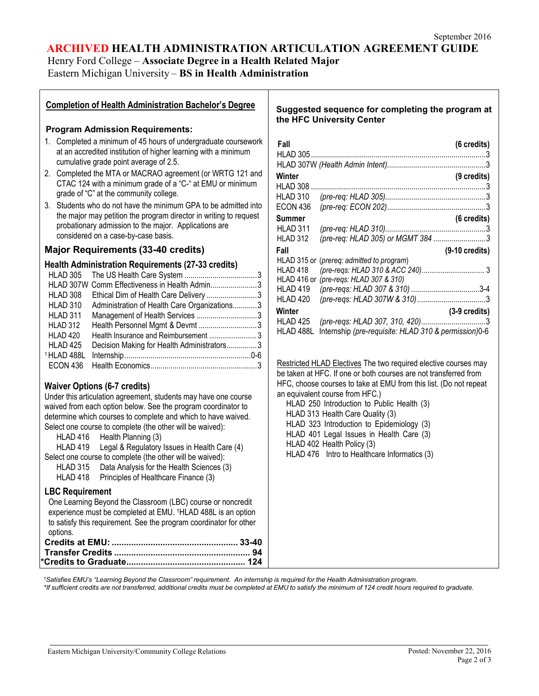# **ARCHIVED HEALTH ADMINISTRATION ARTICULATION AGREEMENT GUIDE**

Henry Ford College – **Associate Degree in a Health Related Major** Eastern Michigan University – **BS in Health Administration**

# **Completion of Health Administration Bachelor's Degree**

#### **Program Admission Requirements:**

- 1. Completed a minimum of 45 hours of undergraduate coursework at an accredited institution of higher learning with a minimum cumulative grade point average of 2.5.
- 2. Completed the MTA or MACRAO agreement (or WRTG 121 and CTAC 124 with a minimum grade of a "C-" at EMU or minimum grade of "C" at the community college.
- 3. Students who do not have the minimum GPA to be admitted into the major may petition the program director in writing to request probationary admission to the major. Applications are considered on a case-by-case basis.

# **Major Requirements (33-40 credits)**

#### **Health Administration Requirements (27-33 credits)**

|            | HLAD 307W Comm Effectiveness in Health Admin3 |  |
|------------|-----------------------------------------------|--|
| HLAD 308   | Ethical Dim of Health Care Delivery 3         |  |
| HLAD 310   | Administration of Health Care Organizations3  |  |
| HLAD 311   | Management of Health Services 3               |  |
| HLAD 312   | Health Personnel Mgmt & Devmt 3               |  |
| HLAD 420   | Health Insurance and Reimbursement 3          |  |
| HLAD 425   | Decision Making for Health Administrators3    |  |
| 1HLAD 488L |                                               |  |
| ECON 436   |                                               |  |
|            |                                               |  |

### **Waiver Options (6-7 credits)**

Under this articulation agreement, students may have one course waived from each option below. See the program coordinator to determine which courses to complete and which to have waived. Select one course to complete (the other will be waived):

- HLAD 416 Health Planning (3)
- HLAD 419 Legal & Regulatory Issues in Health Care (4)
- Select one course to complete (the other will be waived):
	- HLAD 315 Data Analysis for the Health Sciences (3) HLAD 418 Principles of Healthcare Finance (3)

# **LBC Requirement**

One Learning Beyond the Classroom (LBC) course or noncredit experience must be completed at EMU. 1HLAD 488L is an option to satisfy this requirement. See the program coordinator for other options.

### **Suggested sequence for completing the program at the HFC University Center**

| (6 credits)                                          |
|------------------------------------------------------|
|                                                      |
| (9 credits)                                          |
|                                                      |
|                                                      |
|                                                      |
| (6 credits)                                          |
|                                                      |
| (pre-req: HLAD 305) or MGMT 384 3                    |
| $(9-10 \text{ credits})$                             |
| (prereg: admitted to program)<br>HLAD 315 or         |
|                                                      |
| (pre-regs: HLAD 307 & 310)                           |
|                                                      |
|                                                      |
| $(3-9 \text{ credits})$                              |
|                                                      |
| Internship (pre-requisite: HLAD 310 & permission)0-6 |
|                                                      |

Restricted HLAD Electives The two required elective courses may be taken at HFC. If one or both courses are not transferred from HFC, choose courses to take at EMU from this list. (Do not repeat an equivalent course from HFC.)

HLAD 250 Introduction to Public Health (3)

HLAD 313 Health Care Quality (3)

HLAD 323 Introduction to Epidemiology (3)

- HLAD 401 Legal Issues in Health Care (3)
- HLAD 402 Health Policy (3)

HLAD 476 Intro to Healthcare Informatics (3)

1Satisfies EMU's "Learning Beyond the Classroom" requirement. An internship is required for the Health Administration program.

\*If sufficient credits are not transferred, additional credits must be completed at EMU to satisfy the minimum of 124 credit hours required to graduate.